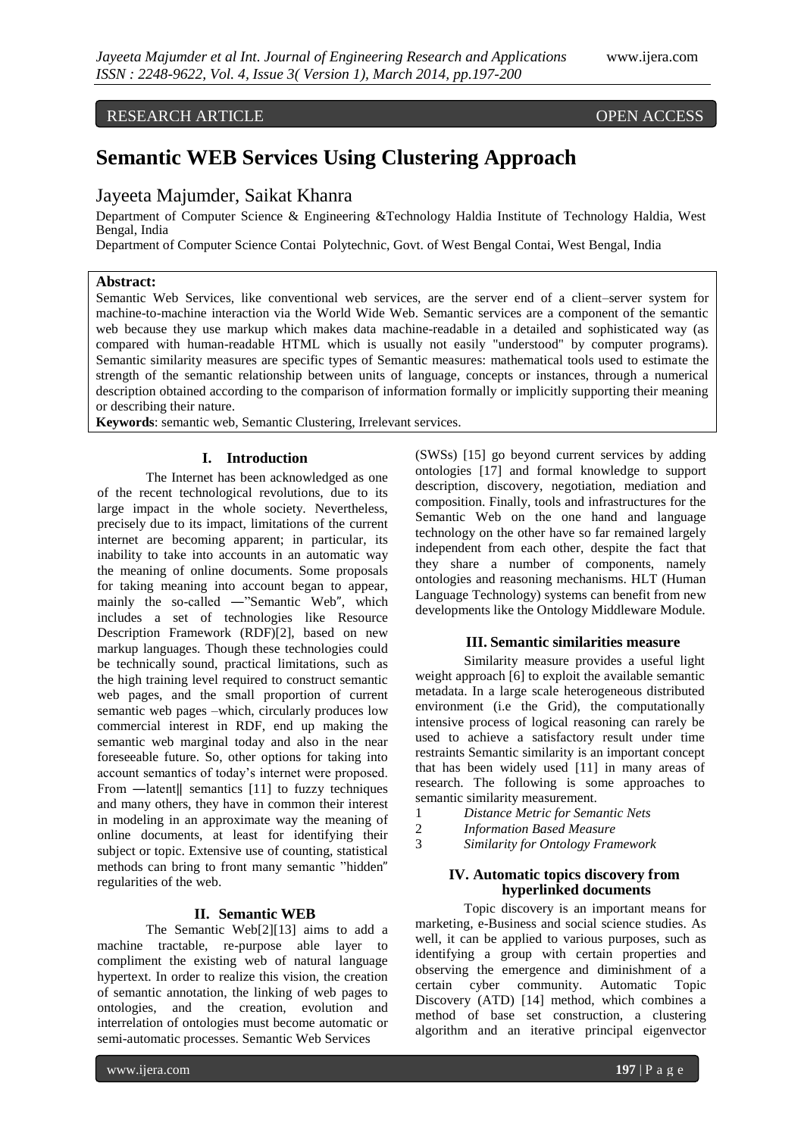# RESEARCH ARTICLE OPEN ACCESS

# **Semantic WEB Services Using Clustering Approach**

# Jayeeta Majumder, Saikat Khanra

Department of Computer Science & Engineering &Technology Haldia Institute of Technology Haldia, West Bengal, India

Department of Computer Science Contai Polytechnic, Govt. of West Bengal Contai, West Bengal, India

#### **Abstract:**

Semantic Web Services, like conventional web services, are the server end of a client–server system for machine-to-machine interaction via the World Wide Web. Semantic services are a component of the semantic web because they use markup which makes data machine-readable in a detailed and sophisticated way (as compared with human-readable HTML which is usually not easily "understood" by computer programs). Semantic similarity measures are specific types of Semantic measures: mathematical tools used to estimate the strength of the semantic relationship between units of language, concepts or instances, through a numerical description obtained according to the comparison of information formally or implicitly supporting their meaning or describing their nature.

**Keywords**: semantic web, Semantic Clustering, Irrelevant services.

#### **I. Introduction**

The Internet has been acknowledged as one of the recent technological revolutions, due to its large impact in the whole society. Nevertheless, precisely due to its impact, limitations of the current internet are becoming apparent; in particular, its inability to take into accounts in an automatic way the meaning of online documents. Some proposals for taking meaning into account began to appear, mainly the so-called —"Semantic Web", which includes a set of technologies like Resource Description Framework (RDF)[2], based on new markup languages. Though these technologies could be technically sound, practical limitations, such as the high training level required to construct semantic web pages, and the small proportion of current semantic web pages –which, circularly produces low commercial interest in RDF, end up making the semantic web marginal today and also in the near foreseeable future. So, other options for taking into account semantics of today's internet were proposed. From —latent|| semantics [11] to fuzzy techniques and many others, they have in common their interest in modeling in an approximate way the meaning of online documents, at least for identifying their subject or topic. Extensive use of counting, statistical methods can bring to front many semantic "hidden" regularities of the web.

#### **II. Semantic WEB**

The Semantic Web[2][13] aims to add a machine tractable, re-purpose able layer to compliment the existing web of natural language hypertext. In order to realize this vision, the creation of semantic annotation, the linking of web pages to ontologies, and the creation, evolution and interrelation of ontologies must become automatic or semi-automatic processes. Semantic Web Services

(SWSs) [15] go beyond current services by adding ontologies [17] and formal knowledge to support description, discovery, negotiation, mediation and composition. Finally, tools and infrastructures for the Semantic Web on the one hand and language technology on the other have so far remained largely independent from each other, despite the fact that they share a number of components, namely ontologies and reasoning mechanisms. HLT (Human Language Technology) systems can benefit from new developments like the Ontology Middleware Module.

#### **III. Semantic similarities measure**

Similarity measure provides a useful light weight approach [6] to exploit the available semantic metadata. In a large scale heterogeneous distributed environment (i.e the Grid), the computationally intensive process of logical reasoning can rarely be used to achieve a satisfactory result under time restraints Semantic similarity is an important concept that has been widely used [11] in many areas of research. The following is some approaches to semantic similarity measurement.

- 1 *Distance Metric for Semantic Nets*
- 2 *Information Based Measure*
- 3 *Similarity for Ontology Framework*

### **IV. Automatic topics discovery from hyperlinked documents**

Topic discovery is an important means for marketing, e-Business and social science studies. As well, it can be applied to various purposes, such as identifying a group with certain properties and observing the emergence and diminishment of a certain cyber community. Automatic Topic Discovery (ATD) [14] method, which combines a method of base set construction, a clustering algorithm and an iterative principal eigenvector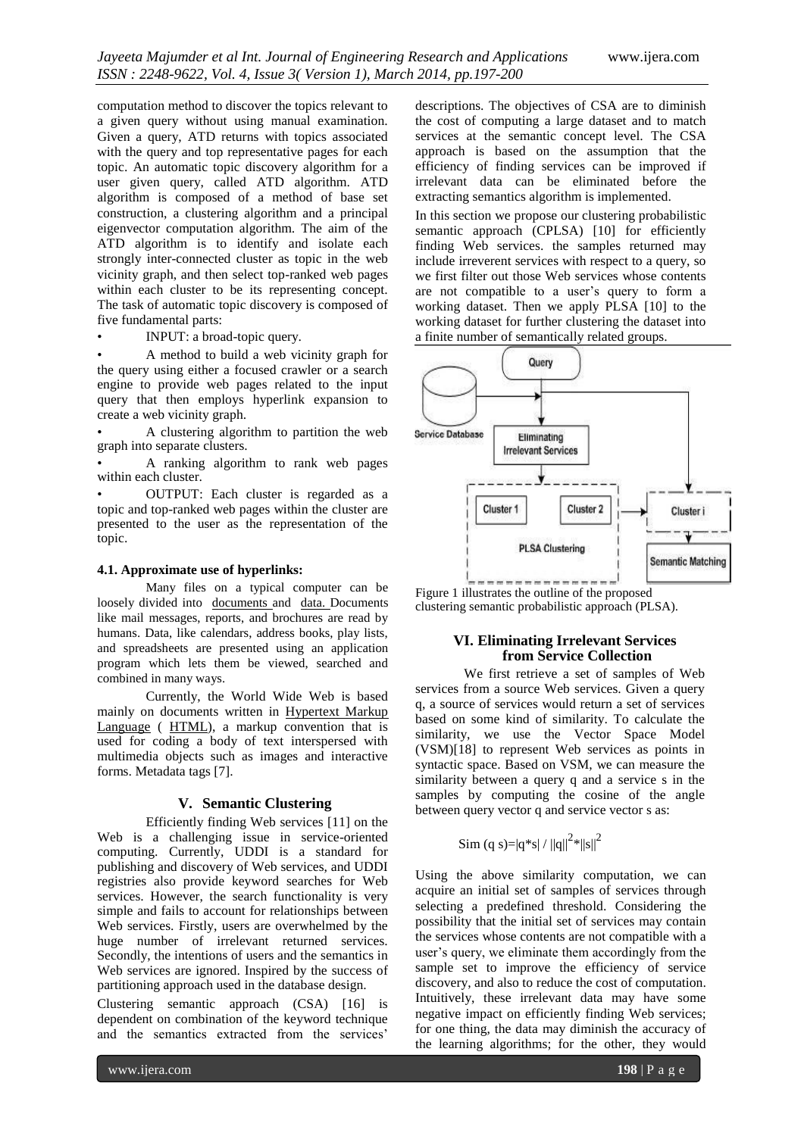computation method to discover the topics relevant to a given query without using manual examination. Given a query, ATD returns with topics associated with the query and top representative pages for each topic. An automatic topic discovery algorithm for a user given query, called ATD algorithm. ATD algorithm is composed of a method of base set construction, a clustering algorithm and a principal eigenvector computation algorithm. The aim of the ATD algorithm is to identify and isolate each strongly inter-connected cluster as topic in the web vicinity graph, and then select top-ranked web pages within each cluster to be its representing concept. The task of automatic topic discovery is composed of five fundamental parts:

• INPUT: a broad-topic query.

• A method to build a web vicinity graph for the query using either a focused crawler or a search engine to provide web pages related to the input query that then employs hyperlink expansion to create a web vicinity graph.

• A clustering algorithm to partition the web graph into separate clusters.

• A ranking algorithm to rank web pages within each cluster.

• OUTPUT: Each cluster is regarded as a topic and top-ranked web pages within the cluster are presented to the user as the representation of the topic.

#### **4.1. Approximate use of hyperlinks:**

Many files on a typical computer can be loosely divided into [documents](http://en.wikipedia.org/wiki/Document) and [data.](http://en.wikipedia.org/wiki/Data) Documents like mail messages, reports, and brochures are read by humans. Data, like calendars, address books, play lists, and spreadsheets are presented using an application program which lets them be viewed, searched and combined in many ways.

Currently, the World Wide Web is based mainly on documents written in Hypertext Markup Language ( [HTML](http://en.wikipedia.org/wiki/HTML)), a markup convention that is used for coding a body of text interspersed with multimedia objects such as images and interactive forms. Metadata tags [7].

# **V. Semantic Clustering**

Efficiently finding Web services [11] on the Web is a challenging issue in service-oriented computing. Currently, UDDI is a standard for publishing and discovery of Web services, and UDDI registries also provide keyword searches for Web services. However, the search functionality is very simple and fails to account for relationships between Web services. Firstly, users are overwhelmed by the huge number of irrelevant returned services. Secondly, the intentions of users and the semantics in Web services are ignored. Inspired by the success of partitioning approach used in the database design.

Clustering semantic approach (CSA) [16] is dependent on combination of the keyword technique and the semantics extracted from the services'

descriptions. The objectives of CSA are to diminish the cost of computing a large dataset and to match services at the semantic concept level. The CSA approach is based on the assumption that the efficiency of finding services can be improved if irrelevant data can be eliminated before the extracting semantics algorithm is implemented.

In this section we propose our clustering probabilistic semantic approach (CPLSA) [10] for efficiently finding Web services. the samples returned may include irreverent services with respect to a query, so we first filter out those Web services whose contents are not compatible to a user's query to form a working dataset. Then we apply PLSA [10] to the working dataset for further clustering the dataset into a finite number of semantically related groups.



Figure 1 illustrates the outline of the proposed clustering semantic probabilistic approach (PLSA).

#### **VI. Eliminating Irrelevant Services from Service Collection**

We first retrieve a set of samples of Web services from a source Web services. Given a query q, a source of services would return a set of services based on some kind of similarity. To calculate the similarity, we use the Vector Space Model (VSM)[18] to represent Web services as points in syntactic space. Based on VSM, we can measure the similarity between a query q and a service s in the samples by computing the cosine of the angle between query vector q and service vector s as:

$$
Sim\left(q\ s\right) {=} \left|q^\ast s\right| / \left\|q\right\|^2 \!\! \ast \! \left\|s\right\|^2
$$

Using the above similarity computation, we can acquire an initial set of samples of services through selecting a predefined threshold. Considering the possibility that the initial set of services may contain the services whose contents are not compatible with a user's query, we eliminate them accordingly from the sample set to improve the efficiency of service discovery, and also to reduce the cost of computation. Intuitively, these irrelevant data may have some negative impact on efficiently finding Web services; for one thing, the data may diminish the accuracy of the learning algorithms; for the other, they would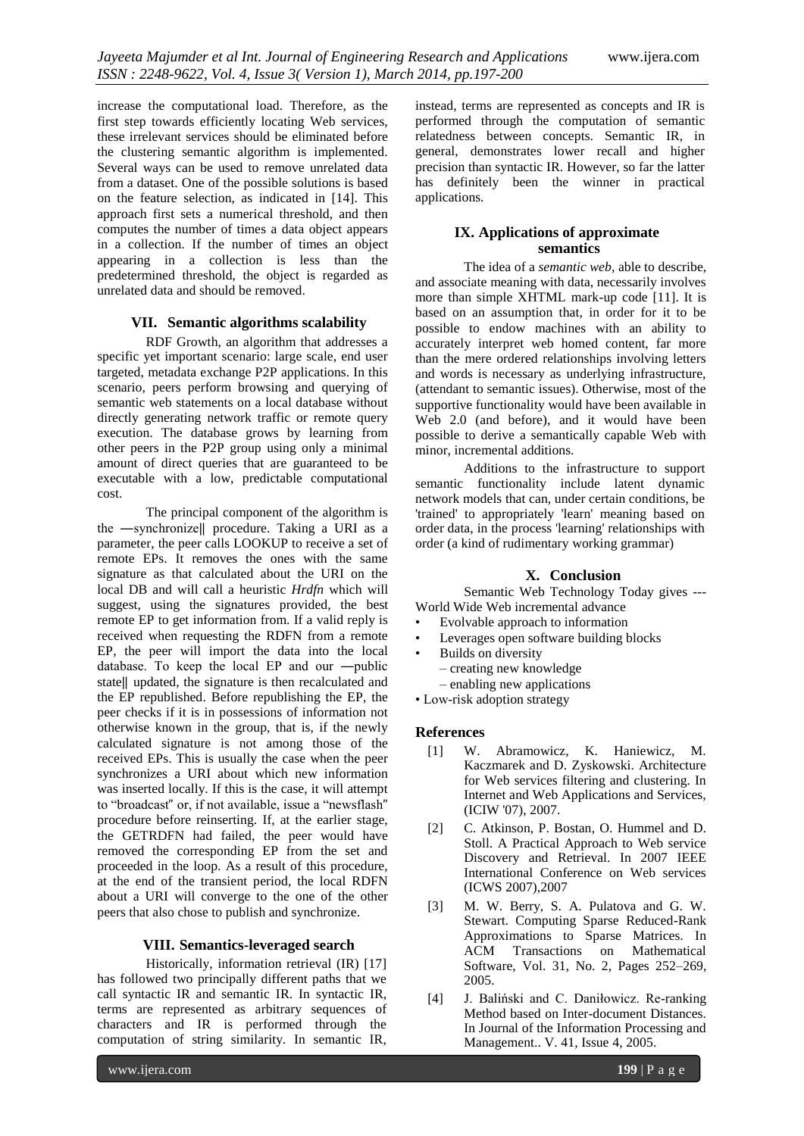increase the computational load. Therefore, as the first step towards efficiently locating Web services, these irrelevant services should be eliminated before the clustering semantic algorithm is implemented. Several ways can be used to remove unrelated data from a dataset. One of the possible solutions is based on the feature selection, as indicated in [14]. This approach first sets a numerical threshold, and then computes the number of times a data object appears in a collection. If the number of times an object appearing in a collection is less than the predetermined threshold, the object is regarded as unrelated data and should be removed.

#### **VII. Semantic algorithms scalability**

RDF Growth, an algorithm that addresses a specific yet important scenario: large scale, end user targeted, metadata exchange P2P applications. In this scenario, peers perform browsing and querying of semantic web statements on a local database without directly generating network traffic or remote query execution. The database grows by learning from other peers in the P2P group using only a minimal amount of direct queries that are guaranteed to be executable with a low, predictable computational cost.

The principal component of the algorithm is the ―synchronize‖ procedure. Taking a URI as a parameter, the peer calls LOOKUP to receive a set of remote EPs. It removes the ones with the same signature as that calculated about the URI on the local DB and will call a heuristic *Hrdfn* which will suggest, using the signatures provided, the best remote EP to get information from. If a valid reply is received when requesting the RDFN from a remote EP, the peer will import the data into the local database. To keep the local EP and our ―public state‖ updated, the signature is then recalculated and the EP republished. Before republishing the EP, the peer checks if it is in possessions of information not otherwise known in the group, that is, if the newly calculated signature is not among those of the received EPs. This is usually the case when the peer synchronizes a URI about which new information was inserted locally. If this is the case, it will attempt to "broadcast" or, if not available, issue a "newsflash" procedure before reinserting. If, at the earlier stage, the GETRDFN had failed, the peer would have removed the corresponding EP from the set and proceeded in the loop. As a result of this procedure, at the end of the transient period, the local RDFN about a URI will converge to the one of the other peers that also chose to publish and synchronize.

#### **VIII. Semantics-leveraged search**

Historically, information retrieval (IR) [17] has followed two principally different paths that we call syntactic IR and semantic IR. In syntactic IR, terms are represented as arbitrary sequences of characters and IR is performed through the computation of string similarity. In semantic IR,

instead, terms are represented as concepts and IR is performed through the computation of semantic relatedness between concepts. Semantic IR, in general, demonstrates lower recall and higher precision than syntactic IR. However, so far the latter has definitely been the winner in practical applications.

# **IX. Applications of approximate semantics**

The idea of a *semantic web*, able to describe, and associate meaning with data, necessarily involves more than simple XHTML mark-up code [11]. It is based on an assumption that, in order for it to be possible to endow machines with an ability to accurately interpret web homed content, far more than the mere ordered relationships involving letters and words is necessary as underlying infrastructure, (attendant to semantic issues). Otherwise, most of the supportive functionality would have been available in Web 2.0 (and before), and it would have been possible to derive a semantically capable Web with minor, incremental additions.

Additions to the infrastructure to support semantic functionality include latent dynamic network models that can, under certain conditions, be 'trained' to appropriately 'learn' meaning based on order data, in the process 'learning' relationships with order (a kind of rudimentary working grammar)

# **X. Conclusion**

Semantic Web Technology Today gives --- World Wide Web incremental advance

- Evolvable approach to information
- Leverages open software building blocks
- Builds on diversity
	- creating new knowledge
	- enabling new applications
- Low-risk adoption strategy

#### **References**

- [1] W. Abramowicz, K. Haniewicz, M. Kaczmarek and D. Zyskowski. Architecture for Web services filtering and clustering. In Internet and Web Applications and Services, (ICIW '07), 2007.
- [2] C. Atkinson, P. Bostan, O. Hummel and D. Stoll. A Practical Approach to Web service Discovery and Retrieval. In 2007 IEEE International Conference on Web services (ICWS 2007),2007
- [3] M. W. Berry, S. A. Pulatova and G. W. Stewart. Computing Sparse Reduced-Rank Approximations to Sparse Matrices. In ACM Transactions on Mathematical Software, Vol. 31, No. 2, Pages 252–269, 2005.
- [4] J. Baliński and C. Daniłowicz. Re-ranking Method based on Inter-document Distances. In Journal of the Information Processing and Management.. V. 41, Issue 4, 2005.